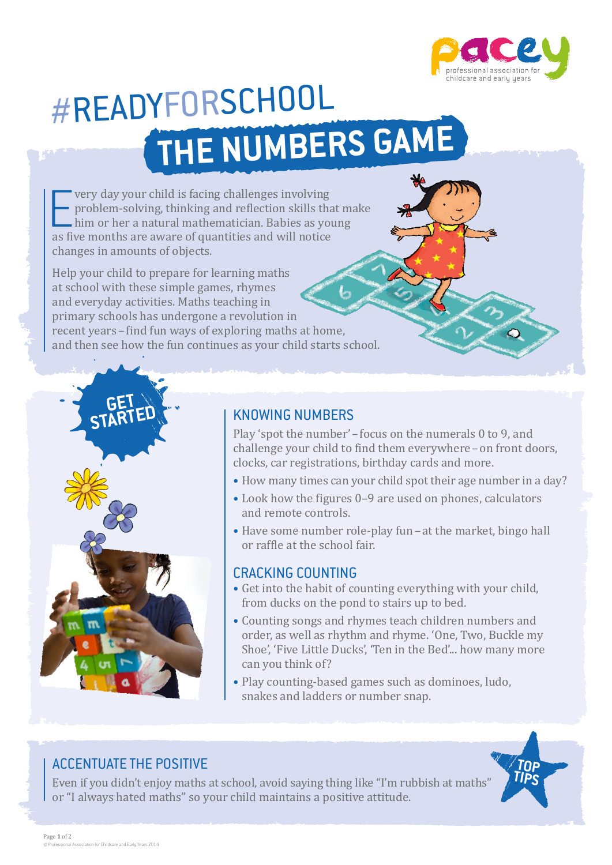

# **the numbers game** #ReadyForSchool

**EXECUTE ENTERNAISE CONTINUIST** wery day your child is facing challenges involving problem-solving, thinking and reflection skills the him or her a natural mathematician. Babies as yo as five months are aware of quantities very day your child is facing challenges involving problem-solving, thinking and reflection skills that make him or her a natural mathematician. Babies as young changes in amounts of objects.

Help your child to prepare for learning maths at school with these simple games, rhymes and everyday activities. Maths teaching in primary schools has undergone a revolution in recent years–find fun ways of exploring maths at home, and then see how the fun continues as your child starts school.



Play 'spot the number'–focus on the numerals 0 to 9, and challenge your child to find them everywhere–on front doors, clocks, car registrations, birthday cards and more.

- How many times can your child spot their age number in a day?
- Look how the figures 0–9 are used on phones, calculators and remote controls.
- Have some number role-play fun at the market, bingo hall or raffle at the school fair.

#### Cracking counting

- • Get into the habit of counting everything with your child, from ducks on the pond to stairs up to bed.
- • Counting songs and rhymes teach children numbers and order, as well as rhythm and rhyme. 'One, Two, Buckle my Shoe', 'Five Little Ducks', 'Ten in the Bed'... how many more can you think of?
- Play counting-based games such as dominoes, ludo, snakes and ladders or number snap.

#### Accentuate the positive

**GET STARTED**

Even if you didn't enjoy maths at school, avoid saying thing like "I'm rubbish at maths" or "I always hated maths" so your child maintains a positive attitude.